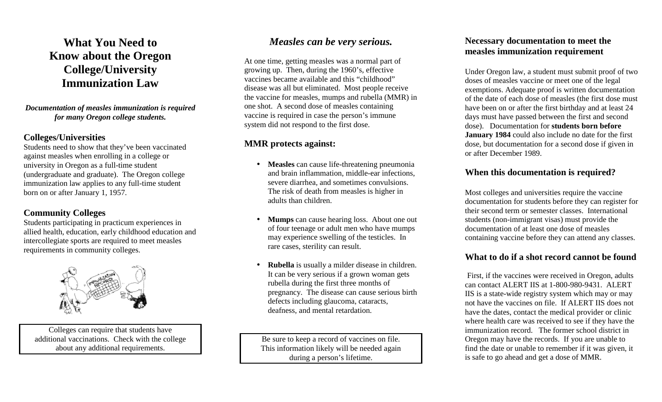**What You Need to Know about the Oregon College/University Immunization Law** 

*Documentation of measles immunization is required for many Oregon college students.* 

#### **Colleges/Universities**

 Students need to show that they've been vaccinated against measles when enrolling in a college or university in Oregon as a full-time student (undergraduate and graduate). The Oregon college immunization law applies to any full-time student born on or after January 1, 1957.

### **Community Colleges**

 Students participating in practicum experiences in allied health, education, early childhood education and intercollegiate sports are required to meet measlesrequirements in community colleges.



Colleges can require that students have additional vaccinations. Check with the college about any additional requirements.

# *Measles can be very serious.*

At one time, getting measles was a normal part of growing up. Then, during the 1960's, effective vaccines became available and this "childhood" disease was all but eliminated. Most people receive the vaccine for measles, mumps and rubella (MMR) inone shot. A second dose of measles containing vaccine is required in case the person's immune system did not respond to the first dose.

## **MMR protects against:**

- **Measles** can cause life-threatening pneumonia and brain inflammation, middle-ear infections, severe diarrhea, and sometimes convulsions. The risk of death from measles is higher in adults than children.
- **Mumps** can cause hearing loss. About one out of four teenage or adult men who have mumps may experience swelling of the testicles. In rare cases, sterility can result.
- **Rubella** is usually a milder disease in children. It can be very serious if a grown woman gets rubella during the first three months of pregnancy. The disease can cause serious birth defects including glaucoma, cataracts, deafness, and mental retardation.

Be sure to keep a record of vaccines on file. This information likely will be needed again during a person's lifetime.

### **Necessary documentation to meet the measles immunization requirement**

Under Oregon law, a student must submit proof of two doses of measles vaccine or meet one of the legal exemptions. Adequate proof is written documentation of the date of each dose of measles (the first dose must have been on or after the first birthday and at least 24 days must have passed between the first and second dose). Documentation for **students born before January 1984** could also include no date for the first dose, but documentation for a second dose if given in or after December 1989.

### **When this documentation is required?**

Most colleges and universities require the vaccine documentation for students before they can register for their second term or semester classes. International students (non-immigrant visas) must provide the documentation of at least one dose of measles containing vaccine before they can attend any classes.

### **What to do if a shot record cannot be found**

First, if the vaccines were received in Oregon, adults can contact ALERT IIS at 1-800-980-9431. ALERT IIS is a state-wide registry system which may or may not have the vaccines on file. If ALERT IIS does not have the dates, contact the medical provider or clinic where health care was received to see if they have the immunization record. The former school district in Oregon may have the records. If you are unable to find the date or unable to remember if it was given, it is safe to go ahead and get a dose of MMR.